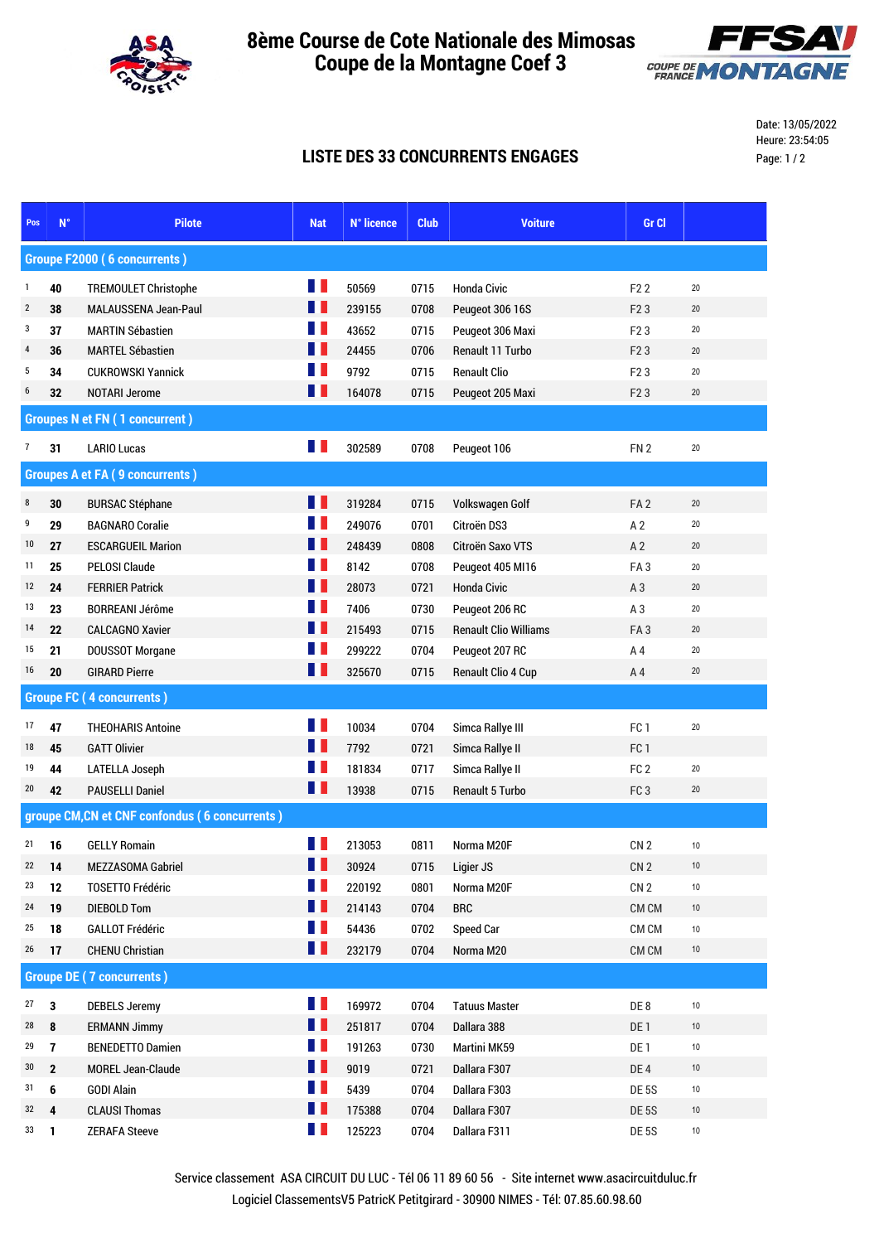

## **Coupe de la Montagne Coef 3 8ème Course de Cote Nationale des Mimosas**



Date: 13/05/2022 Heure: 23:54:05 Page: 1 / 2

## **LISTE DES 33 CONCURRENTS ENGAGES**

| Pos                                            | $N^{\circ}$                           | <b>Pilote</b>                                    | <b>Nat</b>        | N° licence       | <b>Club</b>  | <b>Voiture</b>                 | Gr Cl                             |          |  |
|------------------------------------------------|---------------------------------------|--------------------------------------------------|-------------------|------------------|--------------|--------------------------------|-----------------------------------|----------|--|
| <b>Groupe F2000 (6 concurrents)</b>            |                                       |                                                  |                   |                  |              |                                |                                   |          |  |
| 1                                              | 40                                    | <b>TREMOULET Christophe</b>                      | Ш                 | 50569            | 0715         | <b>Honda Civic</b>             | F <sub>2</sub> 2                  | 20       |  |
| $\overline{2}$                                 | 38                                    | MALAUSSENA Jean-Paul                             | H.                | 239155           | 0708         | Peugeot 306 16S                | F <sub>2</sub> 3                  | 20       |  |
| 3                                              | 37                                    | <b>MARTIN Sébastien</b>                          | H.                | 43652            | 0715         | Peugeot 306 Maxi               | F <sub>2</sub> 3                  | 20       |  |
| $\overline{4}$                                 | 36                                    | <b>MARTEL Sébastien</b>                          | H.                | 24455            | 0706         | Renault 11 Turbo               | F <sub>2</sub> 3                  | 20       |  |
| 5                                              | 34                                    | <b>CUKROWSKI Yannick</b>                         | Ш                 | 9792             | 0715         | <b>Renault Clio</b>            | F <sub>2</sub> 3                  | 20       |  |
| 6                                              | 32                                    | <b>NOTARI Jerome</b>                             | H                 | 164078           | 0715         | Peugeot 205 Maxi               | F <sub>2</sub> 3                  | 20       |  |
|                                                | <b>Groupes N et FN (1 concurrent)</b> |                                                  |                   |                  |              |                                |                                   |          |  |
| $\overline{7}$                                 | 31                                    | <b>LARIO Lucas</b>                               | Ш                 | 302589           | 0708         | Peugeot 106                    | FN 2                              | 20       |  |
| <b>Groupes A et FA (9 concurrents)</b>         |                                       |                                                  |                   |                  |              |                                |                                   |          |  |
|                                                |                                       |                                                  | Ш                 |                  |              |                                |                                   |          |  |
| $\bf 8$<br>9                                   | 30                                    | <b>BURSAC Stéphane</b><br><b>BAGNARO Coralie</b> | H.                | 319284<br>249076 | 0715         | Volkswagen Golf<br>Citroën DS3 | FA <sub>2</sub><br>A <sub>2</sub> | 20<br>20 |  |
| 10                                             | 29<br>27                              | <b>ESCARGUEIL Marion</b>                         | H                 | 248439           | 0701<br>0808 | Citroën Saxo VTS               | A <sub>2</sub>                    | 20       |  |
| 11                                             | 25                                    | PELOSI Claude                                    | M.                | 8142             | 0708         | Peugeot 405 MI16               | FA <sub>3</sub>                   | 20       |  |
| 12                                             | 24                                    | <b>FERRIER Patrick</b>                           | <b>TELEVISION</b> | 28073            | 0721         | <b>Honda Civic</b>             | A3                                | 20       |  |
| 13                                             | 23                                    | <b>BORREANI Jérôme</b>                           | H.                | 7406             | 0730         | Peugeot 206 RC                 | A <sub>3</sub>                    | 20       |  |
| 14                                             | 22                                    | <b>CALCAGNO Xavier</b>                           | H                 | 215493           | 0715         | <b>Renault Clio Williams</b>   | FA <sub>3</sub>                   | 20       |  |
| 15                                             | 21                                    | DOUSSOT Morgane                                  | H                 | 299222           | 0704         | Peugeot 207 RC                 | A <sub>4</sub>                    | 20       |  |
| 16                                             | 20                                    | <b>GIRARD Pierre</b>                             | H.                | 325670           | 0715         | <b>Renault Clio 4 Cup</b>      | A <sub>4</sub>                    | $20\,$   |  |
| <b>Groupe FC (4 concurrents)</b>               |                                       |                                                  |                   |                  |              |                                |                                   |          |  |
|                                                |                                       |                                                  |                   |                  |              |                                |                                   |          |  |
| $17 \,$                                        | 47                                    | <b>THEOHARIS Antoine</b>                         | Ш                 | 10034            | 0704         | Simca Rallye III               | FC <sub>1</sub>                   | 20       |  |
| 18                                             | 45                                    | <b>GATT Olivier</b>                              | <b>TELEVISION</b> | 7792             | 0721         | Simca Rallye II                | FC <sub>1</sub>                   |          |  |
| 19                                             | 44                                    | LATELLA Joseph                                   | H.                | 181834           | 0717         | Simca Rallye II                | FC <sub>2</sub>                   | 20       |  |
| 20                                             | 42                                    | <b>PAUSELLI Daniel</b>                           | H                 | 13938            | 0715         | <b>Renault 5 Turbo</b>         | FC <sub>3</sub>                   | 20       |  |
| groupe CM, CN et CNF confondus (6 concurrents) |                                       |                                                  |                   |                  |              |                                |                                   |          |  |
| $21$ 16                                        |                                       | <b>GELLY Romain</b>                              | Ш                 | 213053           | 0811         | Norma M20F                     | CN <sub>2</sub>                   | $10$     |  |
| 22                                             | 14                                    | MEZZASOMA Gabriel                                | LL LL             | 30924            | 0715         | Ligier JS                      | CN <sub>2</sub>                   | $10$     |  |
| 23                                             | 12                                    | <b>TOSETTO Frédéric</b>                          | H.                | 220192           | 0801         | Norma M20F                     | CN <sub>2</sub>                   | $10$     |  |
| 24                                             | 19                                    | <b>DIEBOLD Tom</b>                               | H                 | 214143           | 0704         | <b>BRC</b>                     | CM CM                             | 10       |  |
| 25                                             | <b>18</b>                             | <b>GALLOT Frédéric</b>                           | Ш                 | 54436            | 0702         | Speed Car                      | CM CM                             | $10$     |  |
| $26$ 17                                        |                                       | <b>CHENU Christian</b>                           | H I               | 232179           | 0704         | Norma M20                      | CM CM                             | 10       |  |
| <b>Groupe DE (7 concurrents)</b>               |                                       |                                                  |                   |                  |              |                                |                                   |          |  |
| 27                                             | $\overline{\mathbf{3}}$               | <b>DEBELS Jeremy</b>                             | H                 | 169972           | 0704         | <b>Tatuus Master</b>           | DE8                               | $10$     |  |
| 28                                             | 8                                     | <b>ERMANN Jimmy</b>                              | H I               | 251817           | 0704         | Dallara 388                    | DE <sub>1</sub>                   | $10$     |  |
| 29                                             | $\overline{1}$                        | <b>BENEDETTO Damien</b>                          | H.                | 191263           | 0730         | Martini MK59                   | DE <sub>1</sub>                   | $10$     |  |
| 30                                             | $\mathbf{2}$                          | MOREL Jean-Claude                                | H                 | 9019             | 0721         | Dallara F307                   | DE <sub>4</sub>                   | $10$     |  |
| 31                                             | 6                                     | <b>GODI Alain</b>                                | Ш                 | 5439             | 0704         | Dallara F303                   | DE 5S                             | $10$     |  |
| 32                                             | $\overline{4}$                        | <b>CLAUSI Thomas</b>                             | H                 | 175388           | 0704         | Dallara F307                   | DE 5S                             | 10       |  |
| $33$ 1                                         |                                       | <b>ZERAFA Steeve</b>                             | <b>TER</b>        | 125223           | 0704         | Dallara F311                   | DE 5S                             | $10$     |  |

Logiciel ClassementsV5 PatricK Petitgirard - 30900 NIMES - Tél: 07.85.60.98.60 Service classement ASA CIRCUIT DU LUC - Tél 06 11 89 60 56 - Site internet www.asacircuitduluc.fr